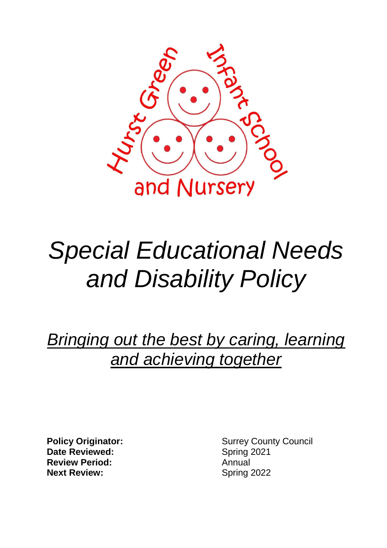

# *Special Educational Needs and Disability Policy*

*Bringing out the best by caring, learning and achieving together*

**Date Reviewed:** Spring 2021 **Review Period:** Annual **Next Review:** Spring 2022

**Policy Originator:** Surrey County Council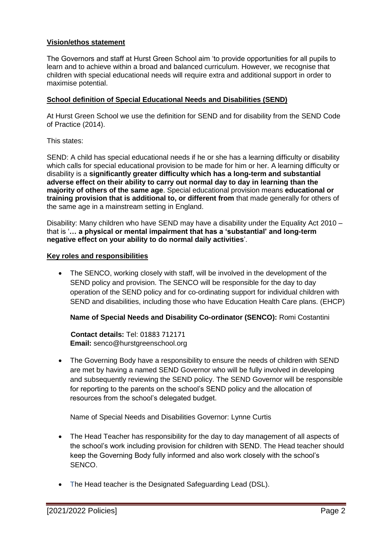#### **Vision/ethos statement**

The Governors and staff at Hurst Green School aim 'to provide opportunities for all pupils to learn and to achieve within a broad and balanced curriculum. However, we recognise that children with special educational needs will require extra and additional support in order to maximise potential.

#### **School definition of Special Educational Needs and Disabilities (SEND)**

At Hurst Green School we use the definition for SEND and for disability from the SEND Code of Practice (2014).

This states:

SEND: A child has special educational needs if he or she has a learning difficulty or disability which calls for special educational provision to be made for him or her. A learning difficulty or disability is a **significantly greater difficulty which has a long-term and substantial adverse effect on their ability to carry out normal day to day in learning than the majority of others of the same age**. Special educational provision means **educational or training provision that is additional to, or different from** that made generally for others of the same age in a mainstream setting in England.

Disability: Many children who have SEND may have a disability under the Equality Act 2010 – that is '**… a physical or mental impairment that has a 'substantial' and long-term negative effect on your ability to do normal daily activities**'.

#### **Key roles and responsibilities**

 The SENCO, working closely with staff, will be involved in the development of the SEND policy and provision. The SENCO will be responsible for the day to day operation of the SEND policy and for co-ordinating support for individual children with SEND and disabilities, including those who have Education Health Care plans. (EHCP)

**Name of Special Needs and Disability Co-ordinator (SENCO):** Romi Costantini

 **Contact details:** Tel: 01883 712171 **Email:** senco@hurstgreenschool.org

• The Governing Body have a responsibility to ensure the needs of children with SEND are met by having a named SEND Governor who will be fully involved in developing and subsequently reviewing the SEND policy. The SEND Governor will be responsible for reporting to the parents on the school's SEND policy and the allocation of resources from the school's delegated budget.

Name of Special Needs and Disabilities Governor: Lynne Curtis

- The Head Teacher has responsibility for the day to day management of all aspects of the school's work including provision for children with SEND. The Head teacher should keep the Governing Body fully informed and also work closely with the school's SENCO.
- The Head teacher is the Designated Safeguarding Lead (DSL).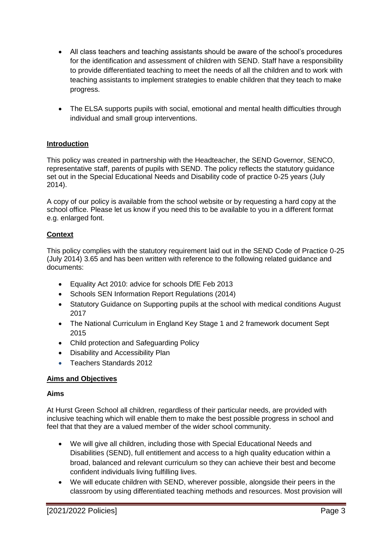- All class teachers and teaching assistants should be aware of the school's procedures for the identification and assessment of children with SEND. Staff have a responsibility to provide differentiated teaching to meet the needs of all the children and to work with teaching assistants to implement strategies to enable children that they teach to make progress.
- The ELSA supports pupils with social, emotional and mental health difficulties through individual and small group interventions.

# **Introduction**

This policy was created in partnership with the Headteacher, the SEND Governor, SENCO, representative staff, parents of pupils with SEND. The policy reflects the statutory guidance set out in the Special Educational Needs and Disability code of practice 0-25 years (July 2014).

A copy of our policy is available from the school website or by requesting a hard copy at the school office. Please let us know if you need this to be available to you in a different format e.g. enlarged font.

# **Context**

This policy complies with the statutory requirement laid out in the SEND Code of Practice 0-25 (July 2014) 3.65 and has been written with reference to the following related guidance and documents:

- Equality Act 2010: advice for schools DfE Feb 2013
- Schools SEN Information Report Regulations (2014)
- Statutory Guidance on Supporting pupils at the school with medical conditions August 2017
- The National Curriculum in England Key Stage 1 and 2 framework document Sept 2015
- Child protection and Safeguarding Policy
- Disability and Accessibility Plan
- Teachers Standards 2012

# **Aims and Objectives**

#### **Aims**

At Hurst Green School all children, regardless of their particular needs, are provided with inclusive teaching which will enable them to make the best possible progress in school and feel that that they are a valued member of the wider school community.

- We will give all children, including those with Special Educational Needs and Disabilities (SEND), full entitlement and access to a high quality education within a broad, balanced and relevant curriculum so they can achieve their best and become confident individuals living fulfilling lives.
- We will educate children with SEND, wherever possible, alongside their peers in the classroom by using differentiated teaching methods and resources. Most provision will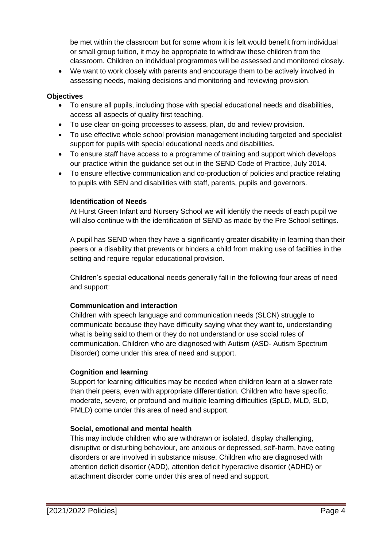be met within the classroom but for some whom it is felt would benefit from individual or small group tuition, it may be appropriate to withdraw these children from the classroom. Children on individual programmes will be assessed and monitored closely.

 We want to work closely with parents and encourage them to be actively involved in assessing needs, making decisions and monitoring and reviewing provision.

# **Objectives**

- To ensure all pupils, including those with special educational needs and disabilities, access all aspects of quality first teaching.
- To use clear on-going processes to assess, plan, do and review provision.
- To use effective whole school provision management including targeted and specialist support for pupils with special educational needs and disabilities.
- To ensure staff have access to a programme of training and support which develops our practice within the guidance set out in the SEND Code of Practice, July 2014.
- To ensure effective communication and co-production of policies and practice relating to pupils with SEN and disabilities with staff, parents, pupils and governors.

# **Identification of Needs**

At Hurst Green Infant and Nursery School we will identify the needs of each pupil we will also continue with the identification of SEND as made by the Pre School settings.

A pupil has SEND when they have a significantly greater disability in learning than their peers or a disability that prevents or hinders a child from making use of facilities in the setting and require regular educational provision.

Children's special educational needs generally fall in the following four areas of need and support:

# **Communication and interaction**

Children with speech language and communication needs (SLCN) struggle to communicate because they have difficulty saying what they want to, understanding what is being said to them or they do not understand or use social rules of communication. Children who are diagnosed with Autism (ASD- Autism Spectrum Disorder) come under this area of need and support.

# **Cognition and learning**

Support for learning difficulties may be needed when children learn at a slower rate than their peers, even with appropriate differentiation. Children who have specific, moderate, severe, or profound and multiple learning difficulties (SpLD, MLD, SLD, PMLD) come under this area of need and support.

# **Social, emotional and mental health**

This may include children who are withdrawn or isolated, display challenging, disruptive or disturbing behaviour, are anxious or depressed, self-harm, have eating disorders or are involved in substance misuse. Children who are diagnosed with attention deficit disorder (ADD), attention deficit hyperactive disorder (ADHD) or attachment disorder come under this area of need and support.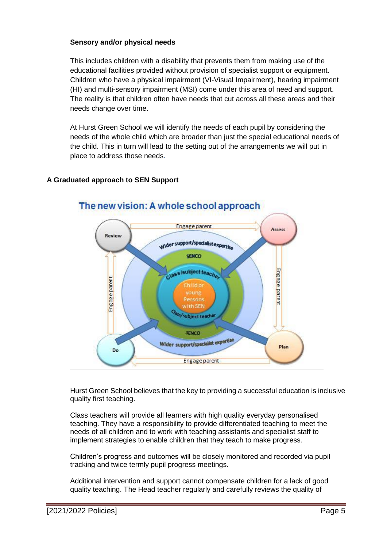#### **Sensory and/or physical needs**

This includes children with a disability that prevents them from making use of the educational facilities provided without provision of specialist support or equipment. Children who have a physical impairment (VI-Visual Impairment), hearing impairment (HI) and multi-sensory impairment (MSI) come under this area of need and support. The reality is that children often have needs that cut across all these areas and their needs change over time.

At Hurst Green School we will identify the needs of each pupil by considering the needs of the whole child which are broader than just the special educational needs of the child. This in turn will lead to the setting out of the arrangements we will put in place to address those needs.

# **A Graduated approach to SEN Support**



# The new vision: A whole school approach

Hurst Green School believes that the key to providing a successful education is inclusive quality first teaching.

Class teachers will provide all learners with high quality everyday personalised teaching. They have a responsibility to provide differentiated teaching to meet the needs of all children and to work with teaching assistants and specialist staff to implement strategies to enable children that they teach to make progress.

Children's progress and outcomes will be closely monitored and recorded via pupil tracking and twice termly pupil progress meetings.

Additional intervention and support cannot compensate children for a lack of good quality teaching. The Head teacher regularly and carefully reviews the quality of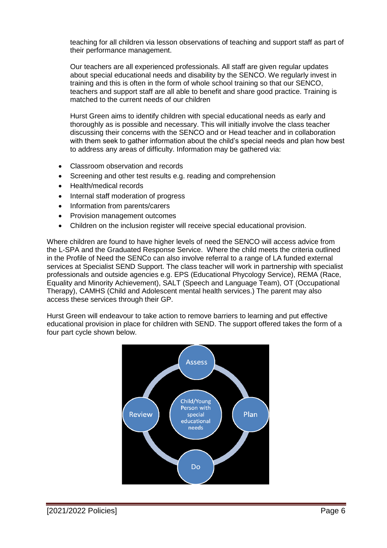teaching for all children via lesson observations of teaching and support staff as part of their performance management.

Our teachers are all experienced professionals. All staff are given regular updates about special educational needs and disability by the SENCO. We regularly invest in training and this is often in the form of whole school training so that our SENCO, teachers and support staff are all able to benefit and share good practice. Training is matched to the current needs of our children

Hurst Green aims to identify children with special educational needs as early and thoroughly as is possible and necessary. This will initially involve the class teacher discussing their concerns with the SENCO and or Head teacher and in collaboration with them seek to gather information about the child's special needs and plan how best to address any areas of difficulty. Information may be gathered via:

- Classroom observation and records
- Screening and other test results e.g. reading and comprehension
- Health/medical records
- Internal staff moderation of progress
- Information from parents/carers
- Provision management outcomes
- Children on the inclusion register will receive special educational provision.

Where children are found to have higher levels of need the SENCO will access advice from the L-SPA and the Graduated Response Service. Where the child meets the criteria outlined in the Profile of Need the SENCo can also involve referral to a range of LA funded external services at Specialist SEND Support. The class teacher will work in partnership with specialist professionals and outside agencies e.g. EPS (Educational Phycology Service), REMA (Race, Equality and Minority Achievement), SALT (Speech and Language Team), OT (Occupational Therapy), CAMHS (Child and Adolescent mental health services.) The parent may also access these services through their GP.

Hurst Green will endeavour to take action to remove barriers to learning and put effective educational provision in place for children with SEND. The support offered takes the form of a four part cycle shown below.

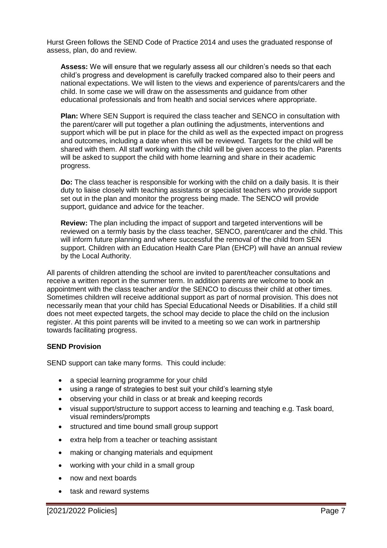Hurst Green follows the SEND Code of Practice 2014 and uses the graduated response of assess, plan, do and review.

**Assess:** We will ensure that we regularly assess all our children's needs so that each child's progress and development is carefully tracked compared also to their peers and national expectations. We will listen to the views and experience of parents/carers and the child. In some case we will draw on the assessments and guidance from other educational professionals and from health and social services where appropriate.

**Plan:** Where SEN Support is required the class teacher and SENCO in consultation with the parent/carer will put together a plan outlining the adjustments, interventions and support which will be put in place for the child as well as the expected impact on progress and outcomes, including a date when this will be reviewed. Targets for the child will be shared with them. All staff working with the child will be given access to the plan. Parents will be asked to support the child with home learning and share in their academic progress.

**Do:** The class teacher is responsible for working with the child on a daily basis. It is their duty to liaise closely with teaching assistants or specialist teachers who provide support set out in the plan and monitor the progress being made. The SENCO will provide support, guidance and advice for the teacher.

**Review:** The plan including the impact of support and targeted interventions will be reviewed on a termly basis by the class teacher, SENCO, parent/carer and the child. This will inform future planning and where successful the removal of the child from SEN support. Children with an Education Health Care Plan (EHCP) will have an annual review by the Local Authority.

All parents of children attending the school are invited to parent/teacher consultations and receive a written report in the summer term. In addition parents are welcome to book an appointment with the class teacher and/or the SENCO to discuss their child at other times. Sometimes children will receive additional support as part of normal provision. This does not necessarily mean that your child has Special Educational Needs or Disabilities. If a child still does not meet expected targets, the school may decide to place the child on the inclusion register. At this point parents will be invited to a meeting so we can work in partnership towards facilitating progress.

#### **SEND Provision**

SEND support can take many forms. This could include:

- a special learning programme for your child
- using a range of strategies to best suit your child's learning style
- observing your child in class or at break and keeping records
- visual support/structure to support access to learning and teaching e.g. Task board, visual reminders/prompts
- structured and time bound small group support
- extra help from a teacher or teaching assistant
- making or changing materials and equipment
- working with your child in a small group
- now and next boards
- task and reward systems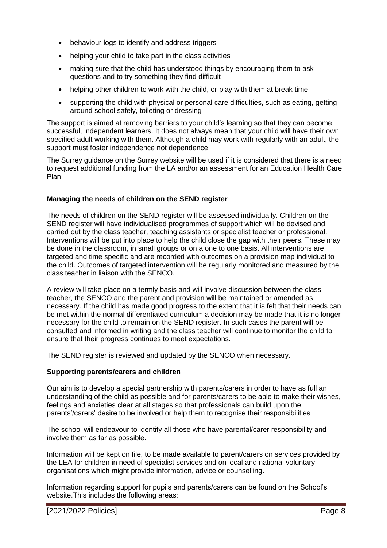- behaviour logs to identify and address triggers
- helping your child to take part in the class activities
- making sure that the child has understood things by encouraging them to ask questions and to try something they find difficult
- helping other children to work with the child, or play with them at break time
- supporting the child with physical or personal care difficulties, such as eating, getting around school safely, toileting or dressing

The support is aimed at removing barriers to your child's learning so that they can become successful, independent learners. It does not always mean that your child will have their own specified adult working with them. Although a child may work with regularly with an adult, the support must foster independence not dependence.

The Surrey guidance on the Surrey website will be used if it is considered that there is a need to request additional funding from the LA and/or an assessment for an Education Health Care Plan.

#### **Managing the needs of children on the SEND register**

The needs of children on the SEND register will be assessed individually. Children on the SEND register will have individualised programmes of support which will be devised and carried out by the class teacher, teaching assistants or specialist teacher or professional. Interventions will be put into place to help the child close the gap with their peers. These may be done in the classroom, in small groups or on a one to one basis. All interventions are targeted and time specific and are recorded with outcomes on a provision map individual to the child. Outcomes of targeted intervention will be regularly monitored and measured by the class teacher in liaison with the SENCO.

A review will take place on a termly basis and will involve discussion between the class teacher, the SENCO and the parent and provision will be maintained or amended as necessary. If the child has made good progress to the extent that it is felt that their needs can be met within the normal differentiated curriculum a decision may be made that it is no longer necessary for the child to remain on the SEND register. In such cases the parent will be consulted and informed in writing and the class teacher will continue to monitor the child to ensure that their progress continues to meet expectations.

The SEND register is reviewed and updated by the SENCO when necessary.

#### **Supporting parents/carers and children**

Our aim is to develop a special partnership with parents/carers in order to have as full an understanding of the child as possible and for parents/carers to be able to make their wishes, feelings and anxieties clear at all stages so that professionals can build upon the parents'/carers' desire to be involved or help them to recognise their responsibilities.

The school will endeavour to identify all those who have parental/carer responsibility and involve them as far as possible.

Information will be kept on file, to be made available to parent/carers on services provided by the LEA for children in need of specialist services and on local and national voluntary organisations which might provide information, advice or counselling.

Information regarding support for pupils and parents/carers can be found on the School's website.This includes the following areas: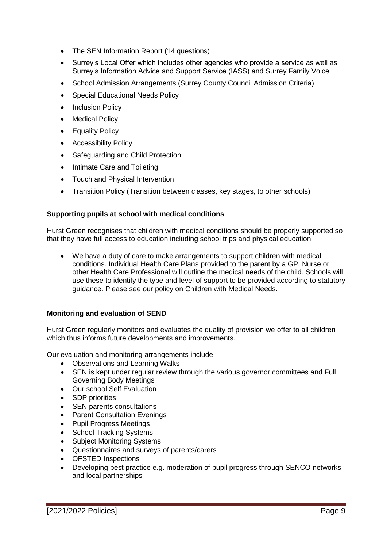- The SEN Information Report (14 questions)
- Surrey's Local Offer which includes other agencies who provide a service as well as Surrey's Information Advice and Support Service (IASS) and Surrey Family Voice
- School Admission Arrangements (Surrey County Council Admission Criteria)
- Special Educational Needs Policy
- Inclusion Policy
- Medical Policy
- Equality Policy
- Accessibility Policy
- Safeguarding and Child Protection
- Intimate Care and Toileting
- Touch and Physical Intervention
- Transition Policy (Transition between classes, key stages, to other schools)

#### **Supporting pupils at school with medical conditions**

Hurst Green recognises that children with medical conditions should be properly supported so that they have full access to education including school trips and physical education

 We have a duty of care to make arrangements to support children with medical conditions. Individual Health Care Plans provided to the parent by a GP, Nurse or other Health Care Professional will outline the medical needs of the child. Schools will use these to identify the type and level of support to be provided according to statutory guidance. Please see our policy on Children with Medical Needs.

# **Monitoring and evaluation of SEND**

Hurst Green regularly monitors and evaluates the quality of provision we offer to all children which thus informs future developments and improvements.

Our evaluation and monitoring arrangements include:

- Observations and Learning Walks
- SEN is kept under regular review through the various governor committees and Full Governing Body Meetings
- Our school Self Evaluation
- SDP priorities
- SEN parents consultations
- Parent Consultation Evenings
- Pupil Progress Meetings
- School Tracking Systems
- Subject Monitoring Systems
- Questionnaires and surveys of parents/carers
- OFSTED Inspections
- Developing best practice e.g. moderation of pupil progress through SENCO networks and local partnerships